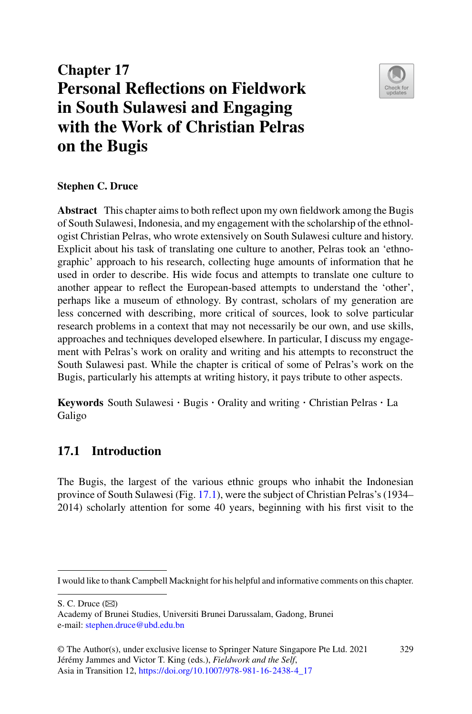# **Chapter 17 Personal Reflections on Fieldwork in South Sulawesi and Engaging with the Work of Christian Pelras on the Bugis**



## **Stephen C. Druce**

**Abstract** This chapter aims to both reflect upon my own fieldwork among the Bugis of South Sulawesi, Indonesia, and my engagement with the scholarship of the ethnologist Christian Pelras, who wrote extensively on South Sulawesi culture and history. Explicit about his task of translating one culture to another, Pelras took an 'ethnographic' approach to his research, collecting huge amounts of information that he used in order to describe. His wide focus and attempts to translate one culture to another appear to reflect the European-based attempts to understand the 'other', perhaps like a museum of ethnology. By contrast, scholars of my generation are less concerned with describing, more critical of sources, look to solve particular research problems in a context that may not necessarily be our own, and use skills, approaches and techniques developed elsewhere. In particular, I discuss my engagement with Pelras's work on orality and writing and his attempts to reconstruct the South Sulawesi past. While the chapter is critical of some of Pelras's work on the Bugis, particularly his attempts at writing history, it pays tribute to other aspects.

**Keywords** South Sulawesi · Bugis · Orality and writing · Christian Pelras · La Galigo

# **17.1 Introduction**

The Bugis, the largest of the various ethnic groups who inhabit the Indonesian province of South Sulawesi (Fig. [17.1\)](#page-1-0), were the subject of Christian Pelras's (1934– 2014) scholarly attention for some 40 years, beginning with his first visit to the

S. C. Druce  $(\boxtimes)$ 

I would like to thank Campbell Macknight for his helpful and informative comments on this chapter.

Academy of Brunei Studies, Universiti Brunei Darussalam, Gadong, Brunei e-mail: [stephen.druce@ubd.edu.bn](mailto:stephen.druce@ubd.edu.bn)

<sup>©</sup> The Author(s), under exclusive license to Springer Nature Singapore Pte Ltd. 2021 Jérémy Jammes and Victor T. King (eds.), *Fieldwork and the Self*, Asia in Transition 12, [https://doi.org/10.1007/978-981-16-2438-4\\_17](https://doi.org/10.1007/978-981-16-2438-4_17) 329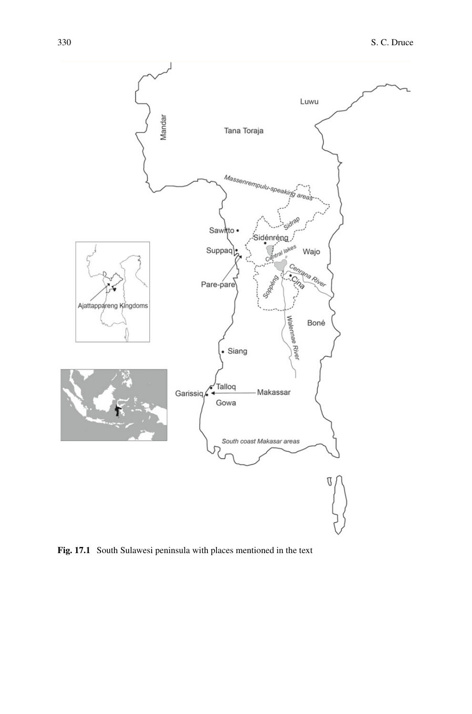

<span id="page-1-0"></span>**Fig. 17.1** South Sulawesi peninsula with places mentioned in the text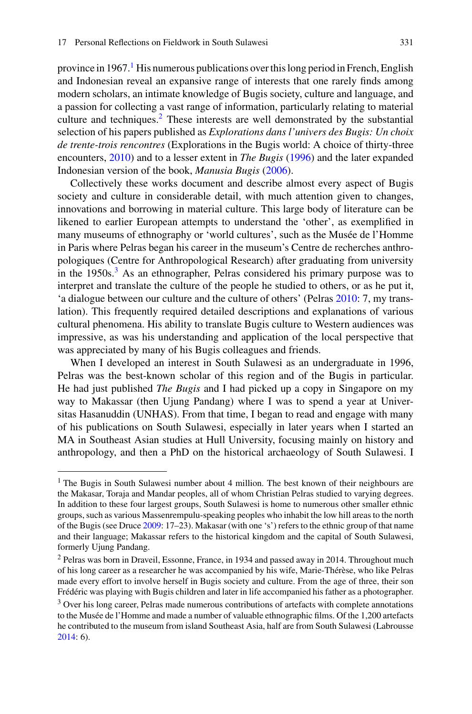province in [1](#page-2-0)967.<sup>1</sup> His numerous publications over this long period in French, English and Indonesian reveal an expansive range of interests that one rarely finds among modern scholars, an intimate knowledge of Bugis society, culture and language, and a passion for collecting a vast range of information, particularly relating to material culture and techniques.<sup>[2](#page-2-1)</sup> These interests are well demonstrated by the substantial selection of his papers published as *Explorations dans l'univers des Bugis: Un choix de trente-trois rencontres* (Explorations in the Bugis world: A choice of thirty-three encounters, [2010\)](#page-22-0) and to a lesser extent in *The Bugis* [\(1996\)](#page-22-1) and the later expanded Indonesian version of the book, *Manusia Bugis* [\(2006\)](#page-22-2).

Collectively these works document and describe almost every aspect of Bugis society and culture in considerable detail, with much attention given to changes, innovations and borrowing in material culture. This large body of literature can be likened to earlier European attempts to understand the 'other', as exemplified in many museums of ethnography or 'world cultures', such as the Musée de l'Homme in Paris where Pelras began his career in the museum's Centre de recherches anthropologiques (Centre for Anthropological Research) after graduating from university in the  $1950s<sup>3</sup>$ . As an ethnographer, Pelras considered his primary purpose was to interpret and translate the culture of the people he studied to others, or as he put it, 'a dialogue between our culture and the culture of others' (Pelras [2010:](#page-22-0) 7, my translation). This frequently required detailed descriptions and explanations of various cultural phenomena. His ability to translate Bugis culture to Western audiences was impressive, as was his understanding and application of the local perspective that was appreciated by many of his Bugis colleagues and friends.

When I developed an interest in South Sulawesi as an undergraduate in 1996, Pelras was the best-known scholar of this region and of the Bugis in particular. He had just published *The Bugis* and I had picked up a copy in Singapore on my way to Makassar (then Ujung Pandang) where I was to spend a year at Universitas Hasanuddin (UNHAS). From that time, I began to read and engage with many of his publications on South Sulawesi, especially in later years when I started an MA in Southeast Asian studies at Hull University, focusing mainly on history and anthropology, and then a PhD on the historical archaeology of South Sulawesi. I

<span id="page-2-0"></span><sup>&</sup>lt;sup>1</sup> The Bugis in South Sulawesi number about 4 million. The best known of their neighbours are the Makasar, Toraja and Mandar peoples, all of whom Christian Pelras studied to varying degrees. In addition to these four largest groups, South Sulawesi is home to numerous other smaller ethnic groups, such as various Massenrempulu-speaking peoples who inhabit the low hill areas to the north of the Bugis (see Druce [2009:](#page-20-0) 17–23). Makasar (with one 's') refers to the ethnic group of that name and their language; Makassar refers to the historical kingdom and the capital of South Sulawesi, formerly Ujung Pandang.

<span id="page-2-1"></span><sup>2</sup> Pelras was born in Draveil, Essonne, France, in 1934 and passed away in 2014. Throughout much of his long career as a researcher he was accompanied by his wife, Marie-Thérèse, who like Pelras made every effort to involve herself in Bugis society and culture. From the age of three, their son Frédéric was playing with Bugis children and later in life accompanied his father as a photographer.

<span id="page-2-2"></span><sup>&</sup>lt;sup>3</sup> Over his long career, Pelras made numerous contributions of artefacts with complete annotations to the Musée de l'Homme and made a number of valuable ethnographic films. Of the 1,200 artefacts he contributed to the museum from island Southeast Asia, half are from South Sulawesi (Labrousse [2014:](#page-20-1) 6).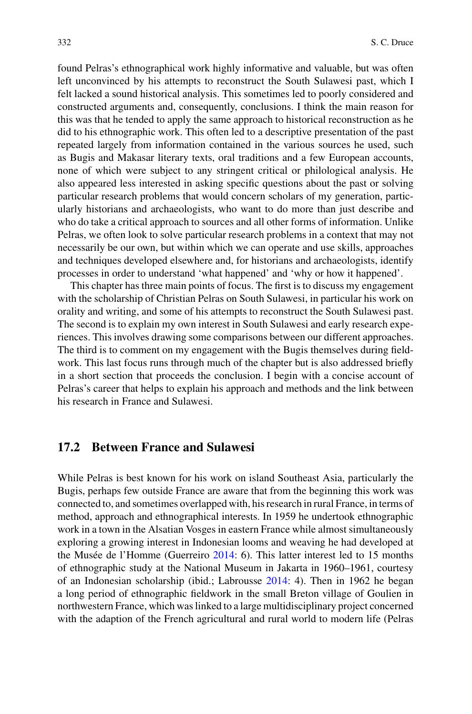found Pelras's ethnographical work highly informative and valuable, but was often left unconvinced by his attempts to reconstruct the South Sulawesi past, which I felt lacked a sound historical analysis. This sometimes led to poorly considered and constructed arguments and, consequently, conclusions. I think the main reason for this was that he tended to apply the same approach to historical reconstruction as he did to his ethnographic work. This often led to a descriptive presentation of the past repeated largely from information contained in the various sources he used, such as Bugis and Makasar literary texts, oral traditions and a few European accounts, none of which were subject to any stringent critical or philological analysis. He also appeared less interested in asking specific questions about the past or solving particular research problems that would concern scholars of my generation, particularly historians and archaeologists, who want to do more than just describe and who do take a critical approach to sources and all other forms of information. Unlike Pelras, we often look to solve particular research problems in a context that may not necessarily be our own, but within which we can operate and use skills, approaches and techniques developed elsewhere and, for historians and archaeologists, identify processes in order to understand 'what happened' and 'why or how it happened'.

This chapter has three main points of focus. The first is to discuss my engagement with the scholarship of Christian Pelras on South Sulawesi, in particular his work on orality and writing, and some of his attempts to reconstruct the South Sulawesi past. The second is to explain my own interest in South Sulawesi and early research experiences. This involves drawing some comparisons between our different approaches. The third is to comment on my engagement with the Bugis themselves during fieldwork. This last focus runs through much of the chapter but is also addressed briefly in a short section that proceeds the conclusion. I begin with a concise account of Pelras's career that helps to explain his approach and methods and the link between his research in France and Sulawesi.

#### **17.2 Between France and Sulawesi**

While Pelras is best known for his work on island Southeast Asia, particularly the Bugis, perhaps few outside France are aware that from the beginning this work was connected to, and sometimes overlapped with, his research in rural France, in terms of method, approach and ethnographical interests. In 1959 he undertook ethnographic work in a town in the Alsatian Vosges in eastern France while almost simultaneously exploring a growing interest in Indonesian looms and weaving he had developed at the Musée de l'Homme (Guerreiro [2014:](#page-20-2) 6). This latter interest led to 15 months of ethnographic study at the National Museum in Jakarta in 1960–1961, courtesy of an Indonesian scholarship (ibid.; Labrousse [2014:](#page-20-1) 4). Then in 1962 he began a long period of ethnographic fieldwork in the small Breton village of Goulien in northwestern France, which was linked to a large multidisciplinary project concerned with the adaption of the French agricultural and rural world to modern life (Pelras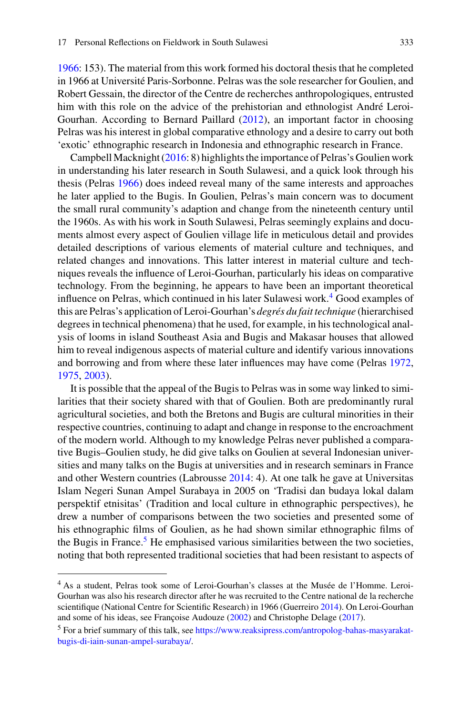[1966:](#page-21-0) 153). The material from this work formed his doctoral thesis that he completed in 1966 at Université Paris-Sorbonne. Pelras was the sole researcher for Goulien, and Robert Gessain, the director of the Centre de recherches anthropologiques, entrusted him with this role on the advice of the prehistorian and ethnologist André Leroi-Gourhan. According to Bernard Paillard [\(2012\)](#page-21-1), an important factor in choosing Pelras was his interest in global comparative ethnology and a desire to carry out both 'exotic' ethnographic research in Indonesia and ethnographic research in France.

Campbell Macknight [\(2016:](#page-21-2) 8) highlights the importance of Pelras's Goulien work in understanding his later research in South Sulawesi, and a quick look through his thesis (Pelras [1966\)](#page-21-0) does indeed reveal many of the same interests and approaches he later applied to the Bugis. In Goulien, Pelras's main concern was to document the small rural community's adaption and change from the nineteenth century until the 1960s. As with his work in South Sulawesi, Pelras seemingly explains and documents almost every aspect of Goulien village life in meticulous detail and provides detailed descriptions of various elements of material culture and techniques, and related changes and innovations. This latter interest in material culture and techniques reveals the influence of Leroi-Gourhan, particularly his ideas on comparative technology. From the beginning, he appears to have been an important theoretical influence on Pelras, which continued in his later Sulawesi work.[4](#page-4-0) Good examples of this are Pelras's application of Leroi-Gourhan's *degrés du fait technique* (hierarchised degrees in technical phenomena) that he used, for example, in his technological analysis of looms in island Southeast Asia and Bugis and Makasar houses that allowed him to reveal indigenous aspects of material culture and identify various innovations and borrowing and from where these later influences may have come (Pelras [1972,](#page-21-3) [1975,](#page-21-4) [2003\)](#page-22-3).

It is possible that the appeal of the Bugis to Pelras was in some way linked to similarities that their society shared with that of Goulien. Both are predominantly rural agricultural societies, and both the Bretons and Bugis are cultural minorities in their respective countries, continuing to adapt and change in response to the encroachment of the modern world. Although to my knowledge Pelras never published a comparative Bugis–Goulien study, he did give talks on Goulien at several Indonesian universities and many talks on the Bugis at universities and in research seminars in France and other Western countries (Labrousse [2014:](#page-20-1) 4). At one talk he gave at Universitas Islam Negeri Sunan Ampel Surabaya in 2005 on 'Tradisi dan budaya lokal dalam perspektif etnisitas' (Tradition and local culture in ethnographic perspectives), he drew a number of comparisons between the two societies and presented some of his ethnographic films of Goulien, as he had shown similar ethnographic films of the Bugis in France.<sup>5</sup> He emphasised various similarities between the two societies, noting that both represented traditional societies that had been resistant to aspects of

<span id="page-4-0"></span><sup>4</sup> As a student, Pelras took some of Leroi-Gourhan's classes at the Musée de l'Homme. Leroi-Gourhan was also his research director after he was recruited to the Centre national de la recherche scientifique (National Centre for Scientific Research) in 1966 (Guerreiro [2014\)](#page-20-2). On Leroi-Gourhan and some of his ideas, see Françoise Audouze [\(2002\)](#page-19-0) and Christophe Delage [\(2017\)](#page-20-3).

<span id="page-4-1"></span><sup>5</sup> For a brief summary of this talk, see [https://www.reaksipress.com/antropolog-bahas-masyarakat](https://www.reaksipress.com/antropolog-bahas-masyarakat-bugis-di-iain-sunan-ampel-surabaya/)bugis-di-iain-sunan-ampel-surabaya/.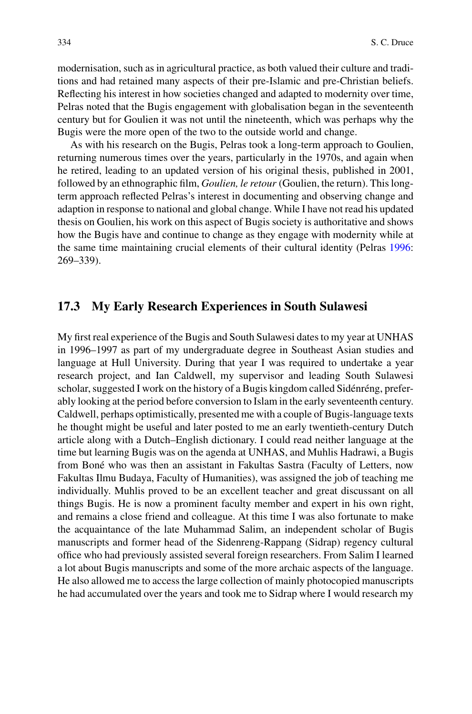modernisation, such as in agricultural practice, as both valued their culture and traditions and had retained many aspects of their pre-Islamic and pre-Christian beliefs. Reflecting his interest in how societies changed and adapted to modernity over time, Pelras noted that the Bugis engagement with globalisation began in the seventeenth century but for Goulien it was not until the nineteenth, which was perhaps why the Bugis were the more open of the two to the outside world and change.

As with his research on the Bugis, Pelras took a long-term approach to Goulien, returning numerous times over the years, particularly in the 1970s, and again when he retired, leading to an updated version of his original thesis, published in 2001, followed by an ethnographic film, *Goulien, le retour* (Goulien, the return). This longterm approach reflected Pelras's interest in documenting and observing change and adaption in response to national and global change. While I have not read his updated thesis on Goulien, his work on this aspect of Bugis society is authoritative and shows how the Bugis have and continue to change as they engage with modernity while at the same time maintaining crucial elements of their cultural identity (Pelras [1996:](#page-22-1) 269–339).

#### **17.3 My Early Research Experiences in South Sulawesi**

My first real experience of the Bugis and South Sulawesi dates to my year at UNHAS in 1996–1997 as part of my undergraduate degree in Southeast Asian studies and language at Hull University. During that year I was required to undertake a year research project, and Ian Caldwell, my supervisor and leading South Sulawesi scholar, suggested I work on the history of a Bugis kingdom called Sidénréng, preferably looking at the period before conversion to Islam in the early seventeenth century. Caldwell, perhaps optimistically, presented me with a couple of Bugis-language texts he thought might be useful and later posted to me an early twentieth-century Dutch article along with a Dutch–English dictionary. I could read neither language at the time but learning Bugis was on the agenda at UNHAS, and Muhlis Hadrawi, a Bugis from Boné who was then an assistant in Fakultas Sastra (Faculty of Letters, now Fakultas Ilmu Budaya, Faculty of Humanities), was assigned the job of teaching me individually. Muhlis proved to be an excellent teacher and great discussant on all things Bugis. He is now a prominent faculty member and expert in his own right, and remains a close friend and colleague. At this time I was also fortunate to make the acquaintance of the late Muhammad Salim, an independent scholar of Bugis manuscripts and former head of the Sidenreng-Rappang (Sidrap) regency cultural office who had previously assisted several foreign researchers. From Salim I learned a lot about Bugis manuscripts and some of the more archaic aspects of the language. He also allowed me to access the large collection of mainly photocopied manuscripts he had accumulated over the years and took me to Sidrap where I would research my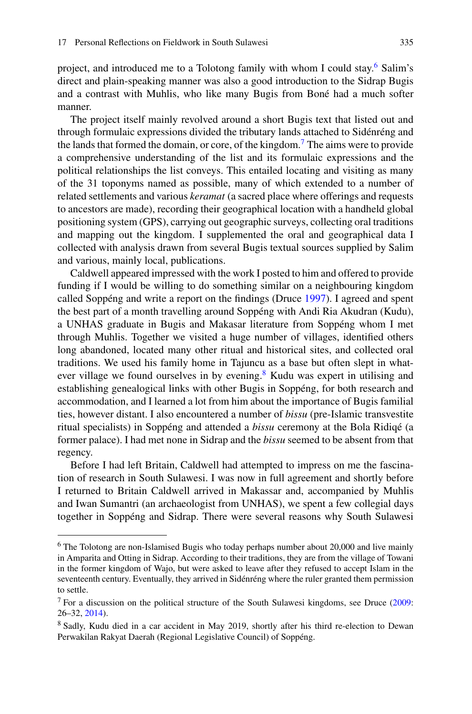project, and introduced me to a Tolotong family with whom I could stay.<sup>[6](#page-6-0)</sup> Salim's direct and plain-speaking manner was also a good introduction to the Sidrap Bugis and a contrast with Muhlis, who like many Bugis from Boné had a much softer manner.

The project itself mainly revolved around a short Bugis text that listed out and through formulaic expressions divided the tributary lands attached to Sidénréng and the lands that formed the domain, or core, of the kingdom[.7](#page-6-1) The aims were to provide a comprehensive understanding of the list and its formulaic expressions and the political relationships the list conveys. This entailed locating and visiting as many of the 31 toponyms named as possible, many of which extended to a number of related settlements and various *keramat* (a sacred place where offerings and requests to ancestors are made), recording their geographical location with a handheld global positioning system (GPS), carrying out geographic surveys, collecting oral traditions and mapping out the kingdom. I supplemented the oral and geographical data I collected with analysis drawn from several Bugis textual sources supplied by Salim and various, mainly local, publications.

Caldwell appeared impressed with the work I posted to him and offered to provide funding if I would be willing to do something similar on a neighbouring kingdom called Soppéng and write a report on the findings (Druce [1997\)](#page-20-4). I agreed and spent the best part of a month travelling around Soppéng with Andi Ria Akudran (Kudu), a UNHAS graduate in Bugis and Makasar literature from Soppéng whom I met through Muhlis. Together we visited a huge number of villages, identified others long abandoned, located many other ritual and historical sites, and collected oral traditions. We used his family home in Tajuncu as a base but often slept in what-ever village we found ourselves in by evening.<sup>[8](#page-6-2)</sup> Kudu was expert in utilising and establishing genealogical links with other Bugis in Soppéng, for both research and accommodation, and I learned a lot from him about the importance of Bugis familial ties, however distant. I also encountered a number of *bissu* (pre-Islamic transvestite ritual specialists) in Soppéng and attended a *bissu* ceremony at the Bola Ridiqé (a former palace). I had met none in Sidrap and the *bissu* seemed to be absent from that regency.

Before I had left Britain, Caldwell had attempted to impress on me the fascination of research in South Sulawesi. I was now in full agreement and shortly before I returned to Britain Caldwell arrived in Makassar and, accompanied by Muhlis and Iwan Sumantri (an archaeologist from UNHAS), we spent a few collegial days together in Soppéng and Sidrap. There were several reasons why South Sulawesi

<span id="page-6-0"></span><sup>&</sup>lt;sup>6</sup> The Tolotong are non-Islamised Bugis who today perhaps number about 20,000 and live mainly in Amparita and Otting in Sidrap. According to their traditions, they are from the village of Towani in the former kingdom of Wajo, but were asked to leave after they refused to accept Islam in the seventeenth century. Eventually, they arrived in Sidénréng where the ruler granted them permission to settle.

<span id="page-6-2"></span><span id="page-6-1"></span><sup>&</sup>lt;sup>7</sup> For a discussion on the political structure of the South Sulawesi kingdoms, see Druce  $(2009)$ : 26–32, [2014\)](#page-20-5).

<sup>&</sup>lt;sup>8</sup> Sadly, Kudu died in a car accident in May 2019, shortly after his third re-election to Dewan Perwakilan Rakyat Daerah (Regional Legislative Council) of Soppéng.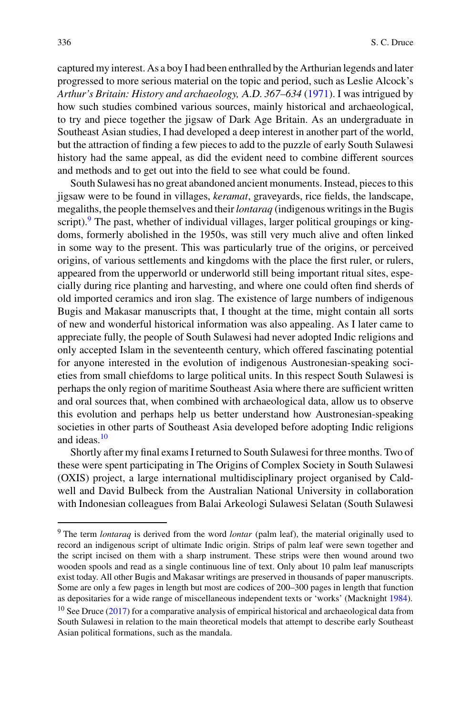captured my interest. As a boy I had been enthralled by the Arthurian legends and later progressed to more serious material on the topic and period, such as Leslie Alcock's *Arthur's Britain: History and archaeology,* A.D. *367–634* [\(1971\)](#page-19-1). I was intrigued by how such studies combined various sources, mainly historical and archaeological, to try and piece together the jigsaw of Dark Age Britain. As an undergraduate in Southeast Asian studies, I had developed a deep interest in another part of the world, but the attraction of finding a few pieces to add to the puzzle of early South Sulawesi history had the same appeal, as did the evident need to combine different sources and methods and to get out into the field to see what could be found.

South Sulawesi has no great abandoned ancient monuments. Instead, pieces to this jigsaw were to be found in villages, *keramat*, graveyards, rice fields, the landscape, megaliths, the people themselves and their*lontaraq* (indigenous writings in the Bugis script). $9$  The past, whether of individual villages, larger political groupings or kingdoms, formerly abolished in the 1950s, was still very much alive and often linked in some way to the present. This was particularly true of the origins, or perceived origins, of various settlements and kingdoms with the place the first ruler, or rulers, appeared from the upperworld or underworld still being important ritual sites, especially during rice planting and harvesting, and where one could often find sherds of old imported ceramics and iron slag. The existence of large numbers of indigenous Bugis and Makasar manuscripts that, I thought at the time, might contain all sorts of new and wonderful historical information was also appealing. As I later came to appreciate fully, the people of South Sulawesi had never adopted Indic religions and only accepted Islam in the seventeenth century, which offered fascinating potential for anyone interested in the evolution of indigenous Austronesian-speaking societies from small chiefdoms to large political units. In this respect South Sulawesi is perhaps the only region of maritime Southeast Asia where there are sufficient written and oral sources that, when combined with archaeological data, allow us to observe this evolution and perhaps help us better understand how Austronesian-speaking societies in other parts of Southeast Asia developed before adopting Indic religions and ideas.[10](#page-7-1)

Shortly after my final exams I returned to South Sulawesi for three months. Two of these were spent participating in The Origins of Complex Society in South Sulawesi (OXIS) project, a large international multidisciplinary project organised by Caldwell and David Bulbeck from the Australian National University in collaboration with Indonesian colleagues from Balai Arkeologi Sulawesi Selatan (South Sulawesi

<span id="page-7-0"></span><sup>9</sup> The term *lontaraq* is derived from the word *lontar* (palm leaf), the material originally used to record an indigenous script of ultimate Indic origin. Strips of palm leaf were sewn together and the script incised on them with a sharp instrument. These strips were then wound around two wooden spools and read as a single continuous line of text. Only about 10 palm leaf manuscripts exist today. All other Bugis and Makasar writings are preserved in thousands of paper manuscripts. Some are only a few pages in length but most are codices of 200–300 pages in length that function as depositaries for a wide range of miscellaneous independent texts or 'works' (Macknight [1984\)](#page-21-5).  $10$  See Druce [\(2017\)](#page-20-6) for a comparative analysis of empirical historical and archaeological data from

<span id="page-7-1"></span>South Sulawesi in relation to the main theoretical models that attempt to describe early Southeast Asian political formations, such as the mandala.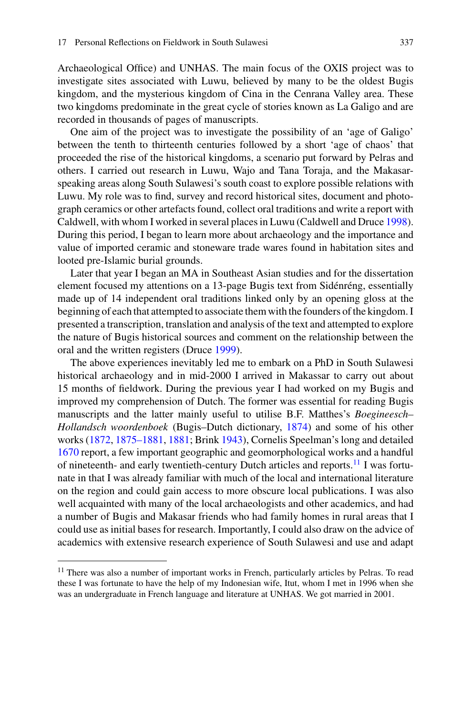Archaeological Office) and UNHAS. The main focus of the OXIS project was to investigate sites associated with Luwu, believed by many to be the oldest Bugis kingdom, and the mysterious kingdom of Cina in the Cenrana Valley area. These two kingdoms predominate in the great cycle of stories known as La Galigo and are recorded in thousands of pages of manuscripts.

One aim of the project was to investigate the possibility of an 'age of Galigo' between the tenth to thirteenth centuries followed by a short 'age of chaos' that proceeded the rise of the historical kingdoms, a scenario put forward by Pelras and others. I carried out research in Luwu, Wajo and Tana Toraja, and the Makasarspeaking areas along South Sulawesi's south coast to explore possible relations with Luwu. My role was to find, survey and record historical sites, document and photograph ceramics or other artefacts found, collect oral traditions and write a report with Caldwell, with whom I worked in several places in Luwu (Caldwell and Druce [1998\)](#page-19-2). During this period, I began to learn more about archaeology and the importance and value of imported ceramic and stoneware trade wares found in habitation sites and looted pre-Islamic burial grounds.

Later that year I began an MA in Southeast Asian studies and for the dissertation element focused my attentions on a 13-page Bugis text from Sidénréng, essentially made up of 14 independent oral traditions linked only by an opening gloss at the beginning of each that attempted to associate them with the founders of the kingdom. I presented a transcription, translation and analysis of the text and attempted to explore the nature of Bugis historical sources and comment on the relationship between the oral and the written registers (Druce [1999\)](#page-20-7).

The above experiences inevitably led me to embark on a PhD in South Sulawesi historical archaeology and in mid-2000 I arrived in Makassar to carry out about 15 months of fieldwork. During the previous year I had worked on my Bugis and improved my comprehension of Dutch. The former was essential for reading Bugis manuscripts and the latter mainly useful to utilise B.F. Matthes's *Boegineesch– Hollandsch woordenboek* (Bugis–Dutch dictionary, [1874\)](#page-21-6) and some of his other works [\(1872,](#page-21-7) [1875–1881,](#page-21-8) [1881;](#page-21-9) Brink [1943\)](#page-19-3), Cornelis Speelman's long and detailed [1670](#page-22-4) report, a few important geographic and geomorphological works and a handful of nineteenth- and early twentieth-century Dutch articles and reports.[11](#page-8-0) I was fortunate in that I was already familiar with much of the local and international literature on the region and could gain access to more obscure local publications. I was also well acquainted with many of the local archaeologists and other academics, and had a number of Bugis and Makasar friends who had family homes in rural areas that I could use as initial bases for research. Importantly, I could also draw on the advice of academics with extensive research experience of South Sulawesi and use and adapt

<span id="page-8-0"></span><sup>&</sup>lt;sup>11</sup> There was also a number of important works in French, particularly articles by Pelras. To read these I was fortunate to have the help of my Indonesian wife, Itut, whom I met in 1996 when she was an undergraduate in French language and literature at UNHAS. We got married in 2001.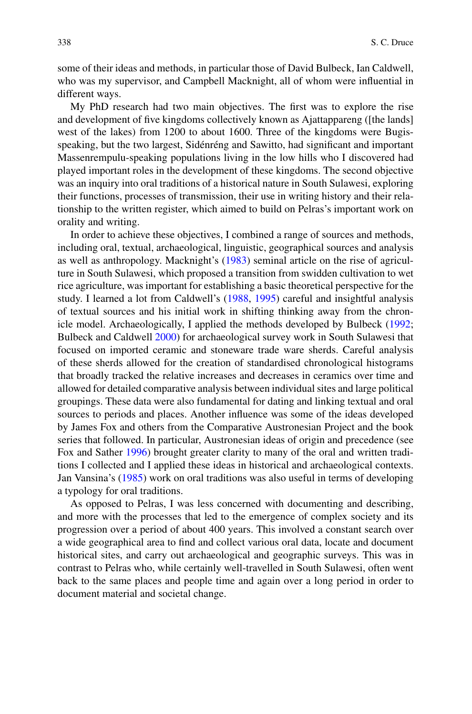some of their ideas and methods, in particular those of David Bulbeck, Ian Caldwell, who was my supervisor, and Campbell Macknight, all of whom were influential in different ways.

My PhD research had two main objectives. The first was to explore the rise and development of five kingdoms collectively known as Ajattappareng ([the lands] west of the lakes) from 1200 to about 1600. Three of the kingdoms were Bugisspeaking, but the two largest, Sidénréng and Sawitto, had significant and important Massenrempulu-speaking populations living in the low hills who I discovered had played important roles in the development of these kingdoms. The second objective was an inquiry into oral traditions of a historical nature in South Sulawesi, exploring their functions, processes of transmission, their use in writing history and their relationship to the written register, which aimed to build on Pelras's important work on orality and writing.

In order to achieve these objectives, I combined a range of sources and methods, including oral, textual, archaeological, linguistic, geographical sources and analysis as well as anthropology. Macknight's [\(1983\)](#page-21-10) seminal article on the rise of agriculture in South Sulawesi, which proposed a transition from swidden cultivation to wet rice agriculture, was important for establishing a basic theoretical perspective for the study. I learned a lot from Caldwell's [\(1988,](#page-19-4) [1995\)](#page-19-5) careful and insightful analysis of textual sources and his initial work in shifting thinking away from the chronicle model. Archaeologically, I applied the methods developed by Bulbeck [\(1992;](#page-19-6) Bulbeck and Caldwell [2000\)](#page-19-7) for archaeological survey work in South Sulawesi that focused on imported ceramic and stoneware trade ware sherds. Careful analysis of these sherds allowed for the creation of standardised chronological histograms that broadly tracked the relative increases and decreases in ceramics over time and allowed for detailed comparative analysis between individual sites and large political groupings. These data were also fundamental for dating and linking textual and oral sources to periods and places. Another influence was some of the ideas developed by James Fox and others from the Comparative Austronesian Project and the book series that followed. In particular, Austronesian ideas of origin and precedence (see Fox and Sather [1996\)](#page-20-8) brought greater clarity to many of the oral and written traditions I collected and I applied these ideas in historical and archaeological contexts. Jan Vansina's [\(1985\)](#page-22-5) work on oral traditions was also useful in terms of developing a typology for oral traditions.

As opposed to Pelras, I was less concerned with documenting and describing, and more with the processes that led to the emergence of complex society and its progression over a period of about 400 years. This involved a constant search over a wide geographical area to find and collect various oral data, locate and document historical sites, and carry out archaeological and geographic surveys. This was in contrast to Pelras who, while certainly well-travelled in South Sulawesi, often went back to the same places and people time and again over a long period in order to document material and societal change.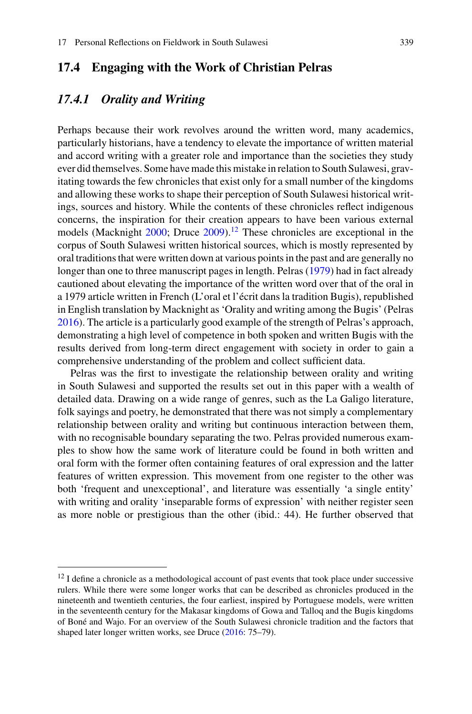## **17.4 Engaging with the Work of Christian Pelras**

#### *17.4.1 Orality and Writing*

Perhaps because their work revolves around the written word, many academics, particularly historians, have a tendency to elevate the importance of written material and accord writing with a greater role and importance than the societies they study ever did themselves. Some have made this mistake in relation to South Sulawesi, gravitating towards the few chronicles that exist only for a small number of the kingdoms and allowing these works to shape their perception of South Sulawesi historical writings, sources and history. While the contents of these chronicles reflect indigenous concerns, the inspiration for their creation appears to have been various external models (Macknight  $2000$ ; Druce  $2009$ ).<sup>[12](#page-10-0)</sup> These chronicles are exceptional in the corpus of South Sulawesi written historical sources, which is mostly represented by oral traditions that were written down at various points in the past and are generally no longer than one to three manuscript pages in length. Pelras [\(1979\)](#page-22-6) had in fact already cautioned about elevating the importance of the written word over that of the oral in a 1979 article written in French (L'oral et l'écrit dans la tradition Bugis), republished in English translation by Macknight as 'Orality and writing among the Bugis' (Pelras [2016\)](#page-22-7). The article is a particularly good example of the strength of Pelras's approach, demonstrating a high level of competence in both spoken and written Bugis with the results derived from long-term direct engagement with society in order to gain a comprehensive understanding of the problem and collect sufficient data.

Pelras was the first to investigate the relationship between orality and writing in South Sulawesi and supported the results set out in this paper with a wealth of detailed data. Drawing on a wide range of genres, such as the La Galigo literature, folk sayings and poetry, he demonstrated that there was not simply a complementary relationship between orality and writing but continuous interaction between them, with no recognisable boundary separating the two. Pelras provided numerous examples to show how the same work of literature could be found in both written and oral form with the former often containing features of oral expression and the latter features of written expression. This movement from one register to the other was both 'frequent and unexceptional', and literature was essentially 'a single entity' with writing and orality 'inseparable forms of expression' with neither register seen as more noble or prestigious than the other (ibid.: 44). He further observed that

<span id="page-10-0"></span> $12$  I define a chronicle as a methodological account of past events that took place under successive rulers. While there were some longer works that can be described as chronicles produced in the nineteenth and twentieth centuries, the four earliest, inspired by Portuguese models, were written in the seventeenth century for the Makasar kingdoms of Gowa and Talloq and the Bugis kingdoms of Boné and Wajo. For an overview of the South Sulawesi chronicle tradition and the factors that shaped later longer written works, see Druce [\(2016:](#page-20-9) 75–79).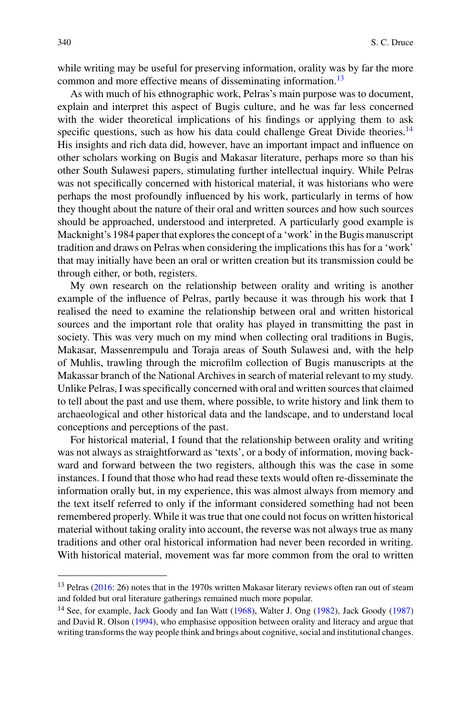while writing may be useful for preserving information, orality was by far the more common and more effective means of disseminating information.<sup>[13](#page-11-0)</sup>

As with much of his ethnographic work, Pelras's main purpose was to document, explain and interpret this aspect of Bugis culture, and he was far less concerned with the wider theoretical implications of his findings or applying them to ask specific questions, such as how his data could challenge Great Divide theories.<sup>[14](#page-11-1)</sup> His insights and rich data did, however, have an important impact and influence on other scholars working on Bugis and Makasar literature, perhaps more so than his other South Sulawesi papers, stimulating further intellectual inquiry. While Pelras was not specifically concerned with historical material, it was historians who were perhaps the most profoundly influenced by his work, particularly in terms of how they thought about the nature of their oral and written sources and how such sources should be approached, understood and interpreted. A particularly good example is Macknight's 1984 paper that explores the concept of a 'work' in the Bugis manuscript tradition and draws on Pelras when considering the implications this has for a 'work' that may initially have been an oral or written creation but its transmission could be through either, or both, registers.

My own research on the relationship between orality and writing is another example of the influence of Pelras, partly because it was through his work that I realised the need to examine the relationship between oral and written historical sources and the important role that orality has played in transmitting the past in society. This was very much on my mind when collecting oral traditions in Bugis, Makasar, Massenrempulu and Toraja areas of South Sulawesi and, with the help of Muhlis, trawling through the microfilm collection of Bugis manuscripts at the Makassar branch of the National Archives in search of material relevant to my study. Unlike Pelras, I was specifically concerned with oral and written sources that claimed to tell about the past and use them, where possible, to write history and link them to archaeological and other historical data and the landscape, and to understand local conceptions and perceptions of the past.

For historical material, I found that the relationship between orality and writing was not always as straightforward as 'texts', or a body of information, moving backward and forward between the two registers, although this was the case in some instances. I found that those who had read these texts would often re-disseminate the information orally but, in my experience, this was almost always from memory and the text itself referred to only if the informant considered something had not been remembered properly. While it was true that one could not focus on written historical material without taking orality into account, the reverse was not always true as many traditions and other oral historical information had never been recorded in writing. With historical material, movement was far more common from the oral to written

<span id="page-11-1"></span><span id="page-11-0"></span><sup>&</sup>lt;sup>13</sup> Pelras [\(2016:](#page-22-7) 26) notes that in the 1970s written Makasar literary reviews often ran out of steam and folded but oral literature gatherings remained much more popular.

<sup>&</sup>lt;sup>14</sup> See, for example, Jack Goody and Ian Watt [\(1968\)](#page-20-10), Walter J. Ong [\(1982\)](#page-21-12), Jack Goody [\(1987\)](#page-20-11) and David R. Olson [\(1994\)](#page-21-13), who emphasise opposition between orality and literacy and argue that writing transforms the way people think and brings about cognitive, social and institutional changes.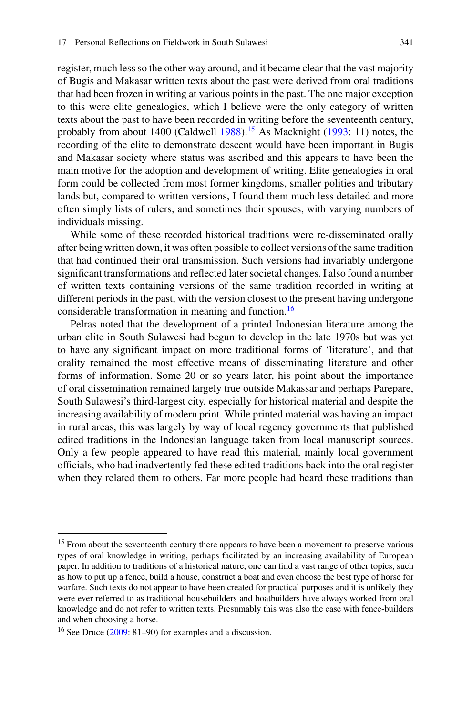register, much less so the other way around, and it became clear that the vast majority of Bugis and Makasar written texts about the past were derived from oral traditions that had been frozen in writing at various points in the past. The one major exception to this were elite genealogies, which I believe were the only category of written texts about the past to have been recorded in writing before the seventeenth century, probably from about 1400 (Caldwell  $1988$ ).<sup>[15](#page-12-0)</sup> As Macknight [\(1993:](#page-21-14) 11) notes, the recording of the elite to demonstrate descent would have been important in Bugis and Makasar society where status was ascribed and this appears to have been the main motive for the adoption and development of writing. Elite genealogies in oral form could be collected from most former kingdoms, smaller polities and tributary lands but, compared to written versions, I found them much less detailed and more often simply lists of rulers, and sometimes their spouses, with varying numbers of individuals missing.

While some of these recorded historical traditions were re-disseminated orally after being written down, it was often possible to collect versions of the same tradition that had continued their oral transmission. Such versions had invariably undergone significant transformations and reflected later societal changes. I also found a number of written texts containing versions of the same tradition recorded in writing at different periods in the past, with the version closest to the present having undergone considerable transformation in meaning and function.<sup>[16](#page-12-1)</sup>

Pelras noted that the development of a printed Indonesian literature among the urban elite in South Sulawesi had begun to develop in the late 1970s but was yet to have any significant impact on more traditional forms of 'literature', and that orality remained the most effective means of disseminating literature and other forms of information. Some 20 or so years later, his point about the importance of oral dissemination remained largely true outside Makassar and perhaps Parepare, South Sulawesi's third-largest city, especially for historical material and despite the increasing availability of modern print. While printed material was having an impact in rural areas, this was largely by way of local regency governments that published edited traditions in the Indonesian language taken from local manuscript sources. Only a few people appeared to have read this material, mainly local government officials, who had inadvertently fed these edited traditions back into the oral register when they related them to others. Far more people had heard these traditions than

<span id="page-12-0"></span><sup>&</sup>lt;sup>15</sup> From about the seventeenth century there appears to have been a movement to preserve various types of oral knowledge in writing, perhaps facilitated by an increasing availability of European paper. In addition to traditions of a historical nature, one can find a vast range of other topics, such as how to put up a fence, build a house, construct a boat and even choose the best type of horse for warfare. Such texts do not appear to have been created for practical purposes and it is unlikely they were ever referred to as traditional housebuilders and boatbuilders have always worked from oral knowledge and do not refer to written texts. Presumably this was also the case with fence-builders and when choosing a horse.

<span id="page-12-1"></span><sup>&</sup>lt;sup>16</sup> See Druce [\(2009:](#page-20-0) 81–90) for examples and a discussion.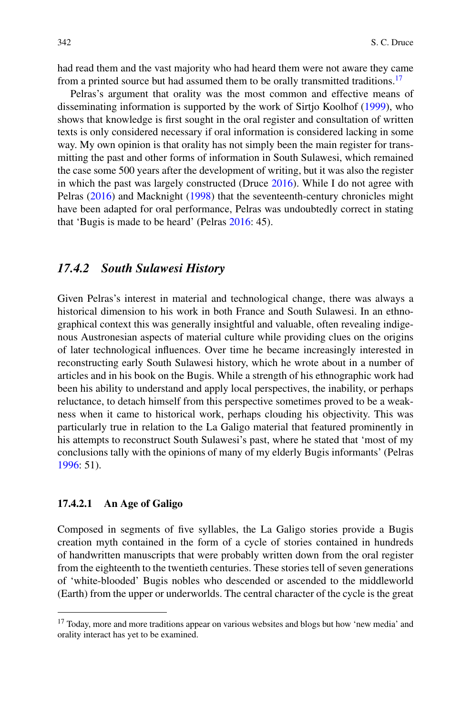had read them and the vast majority who had heard them were not aware they came from a printed source but had assumed them to be orally transmitted traditions.<sup>[17](#page-13-0)</sup>

Pelras's argument that orality was the most common and effective means of disseminating information is supported by the work of Sirtjo Koolhof [\(1999\)](#page-20-12), who shows that knowledge is first sought in the oral register and consultation of written texts is only considered necessary if oral information is considered lacking in some way. My own opinion is that orality has not simply been the main register for transmitting the past and other forms of information in South Sulawesi, which remained the case some 500 years after the development of writing, but it was also the register in which the past was largely constructed (Druce [2016\)](#page-20-9). While I do not agree with Pelras [\(2016\)](#page-22-7) and Macknight [\(1998\)](#page-21-15) that the seventeenth-century chronicles might have been adapted for oral performance, Pelras was undoubtedly correct in stating that 'Bugis is made to be heard' (Pelras [2016:](#page-22-7) 45).

#### *17.4.2 South Sulawesi History*

Given Pelras's interest in material and technological change, there was always a historical dimension to his work in both France and South Sulawesi. In an ethnographical context this was generally insightful and valuable, often revealing indigenous Austronesian aspects of material culture while providing clues on the origins of later technological influences. Over time he became increasingly interested in reconstructing early South Sulawesi history, which he wrote about in a number of articles and in his book on the Bugis. While a strength of his ethnographic work had been his ability to understand and apply local perspectives, the inability, or perhaps reluctance, to detach himself from this perspective sometimes proved to be a weakness when it came to historical work, perhaps clouding his objectivity. This was particularly true in relation to the La Galigo material that featured prominently in his attempts to reconstruct South Sulawesi's past, where he stated that 'most of my conclusions tally with the opinions of many of my elderly Bugis informants' (Pelras [1996:](#page-22-1) 51).

#### **17.4.2.1 An Age of Galigo**

Composed in segments of five syllables, the La Galigo stories provide a Bugis creation myth contained in the form of a cycle of stories contained in hundreds of handwritten manuscripts that were probably written down from the oral register from the eighteenth to the twentieth centuries. These stories tell of seven generations of 'white-blooded' Bugis nobles who descended or ascended to the middleworld (Earth) from the upper or underworlds. The central character of the cycle is the great

<span id="page-13-0"></span><sup>&</sup>lt;sup>17</sup> Today, more and more traditions appear on various websites and blogs but how 'new media' and orality interact has yet to be examined.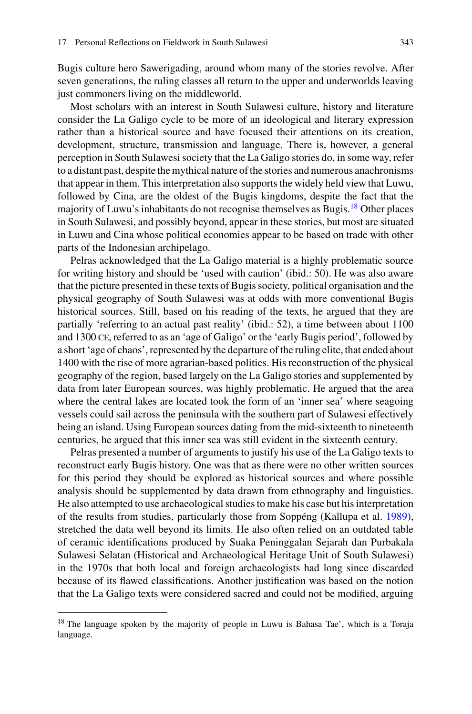Bugis culture hero Sawerigading, around whom many of the stories revolve. After seven generations, the ruling classes all return to the upper and underworlds leaving just commoners living on the middleworld.

Most scholars with an interest in South Sulawesi culture, history and literature consider the La Galigo cycle to be more of an ideological and literary expression rather than a historical source and have focused their attentions on its creation, development, structure, transmission and language. There is, however, a general perception in South Sulawesi society that the La Galigo stories do, in some way, refer to a distant past, despite the mythical nature of the stories and numerous anachronisms that appear in them. This interpretation also supports the widely held view that Luwu, followed by Cina, are the oldest of the Bugis kingdoms, despite the fact that the majority of Luwu's inhabitants do not recognise themselves as Bugis[.18](#page-14-0) Other places in South Sulawesi, and possibly beyond, appear in these stories, but most are situated in Luwu and Cina whose political economies appear to be based on trade with other parts of the Indonesian archipelago.

Pelras acknowledged that the La Galigo material is a highly problematic source for writing history and should be 'used with caution' (ibid.: 50). He was also aware that the picture presented in these texts of Bugis society, political organisation and the physical geography of South Sulawesi was at odds with more conventional Bugis historical sources. Still, based on his reading of the texts, he argued that they are partially 'referring to an actual past reality' (ibid.: 52), a time between about 1100 and 1300 ce, referred to as an 'age of Galigo' or the 'early Bugis period', followed by a short 'age of chaos', represented by the departure of the ruling elite, that ended about 1400 with the rise of more agrarian-based polities. His reconstruction of the physical geography of the region, based largely on the La Galigo stories and supplemented by data from later European sources, was highly problematic. He argued that the area where the central lakes are located took the form of an 'inner sea' where seagoing vessels could sail across the peninsula with the southern part of Sulawesi effectively being an island. Using European sources dating from the mid-sixteenth to nineteenth centuries, he argued that this inner sea was still evident in the sixteenth century.

Pelras presented a number of arguments to justify his use of the La Galigo texts to reconstruct early Bugis history. One was that as there were no other written sources for this period they should be explored as historical sources and where possible analysis should be supplemented by data drawn from ethnography and linguistics. He also attempted to use archaeological studies to make his case but his interpretation of the results from studies, particularly those from Soppéng (Kallupa et al. [1989\)](#page-20-13), stretched the data well beyond its limits. He also often relied on an outdated table of ceramic identifications produced by Suaka Peninggalan Sejarah dan Purbakala Sulawesi Selatan (Historical and Archaeological Heritage Unit of South Sulawesi) in the 1970s that both local and foreign archaeologists had long since discarded because of its flawed classifications. Another justification was based on the notion that the La Galigo texts were considered sacred and could not be modified, arguing

<span id="page-14-0"></span><sup>&</sup>lt;sup>18</sup> The language spoken by the majority of people in Luwu is Bahasa Tae', which is a Toraja language.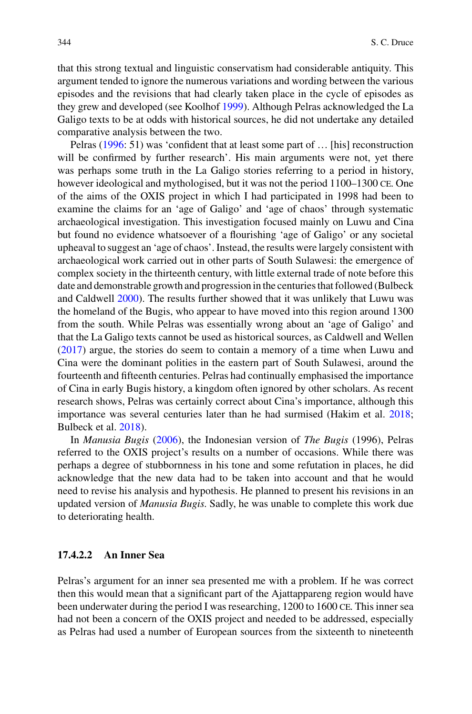that this strong textual and linguistic conservatism had considerable antiquity. This argument tended to ignore the numerous variations and wording between the various episodes and the revisions that had clearly taken place in the cycle of episodes as they grew and developed (see Koolhof [1999\)](#page-20-12). Although Pelras acknowledged the La Galigo texts to be at odds with historical sources, he did not undertake any detailed comparative analysis between the two.

Pelras [\(1996:](#page-22-1) 51) was 'confident that at least some part of ... [his] reconstruction will be confirmed by further research'. His main arguments were not, yet there was perhaps some truth in the La Galigo stories referring to a period in history, however ideological and mythologised, but it was not the period  $1100-1300$  CE. One of the aims of the OXIS project in which I had participated in 1998 had been to examine the claims for an 'age of Galigo' and 'age of chaos' through systematic archaeological investigation. This investigation focused mainly on Luwu and Cina but found no evidence whatsoever of a flourishing 'age of Galigo' or any societal upheaval to suggest an 'age of chaos'. Instead, the results were largely consistent with archaeological work carried out in other parts of South Sulawesi: the emergence of complex society in the thirteenth century, with little external trade of note before this date and demonstrable growth and progression in the centuries that followed (Bulbeck and Caldwell [2000\)](#page-19-7). The results further showed that it was unlikely that Luwu was the homeland of the Bugis, who appear to have moved into this region around 1300 from the south. While Pelras was essentially wrong about an 'age of Galigo' and that the La Galigo texts cannot be used as historical sources, as Caldwell and Wellen [\(2017\)](#page-20-14) argue, the stories do seem to contain a memory of a time when Luwu and Cina were the dominant polities in the eastern part of South Sulawesi, around the fourteenth and fifteenth centuries. Pelras had continually emphasised the importance of Cina in early Bugis history, a kingdom often ignored by other scholars. As recent research shows, Pelras was certainly correct about Cina's importance, although this importance was several centuries later than he had surmised (Hakim et al. [2018;](#page-20-15) Bulbeck et al. [2018\)](#page-19-8).

In *Manusia Bugis* [\(2006\)](#page-22-2), the Indonesian version of *The Bugis* (1996), Pelras referred to the OXIS project's results on a number of occasions. While there was perhaps a degree of stubbornness in his tone and some refutation in places, he did acknowledge that the new data had to be taken into account and that he would need to revise his analysis and hypothesis. He planned to present his revisions in an updated version of *Manusia Bugis*. Sadly, he was unable to complete this work due to deteriorating health.

#### **17.4.2.2 An Inner Sea**

Pelras's argument for an inner sea presented me with a problem. If he was correct then this would mean that a significant part of the Ajattappareng region would have been underwater during the period I was researching, 1200 to 1600 ce. This inner sea had not been a concern of the OXIS project and needed to be addressed, especially as Pelras had used a number of European sources from the sixteenth to nineteenth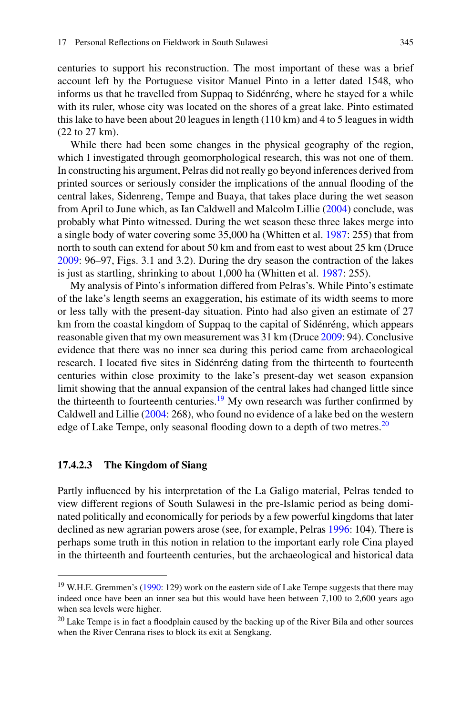centuries to support his reconstruction. The most important of these was a brief account left by the Portuguese visitor Manuel Pinto in a letter dated 1548, who informs us that he travelled from Suppaq to Sidénréng, where he stayed for a while with its ruler, whose city was located on the shores of a great lake. Pinto estimated this lake to have been about 20 leagues in length (110 km) and 4 to 5 leagues in width (22 to 27 km).

While there had been some changes in the physical geography of the region, which I investigated through geomorphological research, this was not one of them. In constructing his argument, Pelras did not really go beyond inferences derived from printed sources or seriously consider the implications of the annual flooding of the central lakes, Sidenreng, Tempe and Buaya, that takes place during the wet season from April to June which, as Ian Caldwell and Malcolm Lillie [\(2004\)](#page-20-16) conclude, was probably what Pinto witnessed. During the wet season these three lakes merge into a single body of water covering some 35,000 ha (Whitten et al. [1987:](#page-22-8) 255) that from north to south can extend for about 50 km and from east to west about 25 km (Druce [2009:](#page-20-0) 96–97, Figs. 3.1 and 3.2). During the dry season the contraction of the lakes is just as startling, shrinking to about 1,000 ha (Whitten et al. [1987:](#page-22-8) 255).

My analysis of Pinto's information differed from Pelras's. While Pinto's estimate of the lake's length seems an exaggeration, his estimate of its width seems to more or less tally with the present-day situation. Pinto had also given an estimate of 27 km from the coastal kingdom of Suppaq to the capital of Sidénréng, which appears reasonable given that my own measurement was 31 km (Druce [2009:](#page-20-0) 94). Conclusive evidence that there was no inner sea during this period came from archaeological research. I located five sites in Sidénréng dating from the thirteenth to fourteenth centuries within close proximity to the lake's present-day wet season expansion limit showing that the annual expansion of the central lakes had changed little since the thirteenth to fourteenth centuries.<sup>19</sup> My own research was further confirmed by Caldwell and Lillie [\(2004:](#page-20-16) 268), who found no evidence of a lake bed on the western edge of Lake Tempe, only seasonal flooding down to a depth of two metres.<sup>[20](#page-16-1)</sup>

#### **17.4.2.3 The Kingdom of Siang**

Partly influenced by his interpretation of the La Galigo material, Pelras tended to view different regions of South Sulawesi in the pre-Islamic period as being dominated politically and economically for periods by a few powerful kingdoms that later declined as new agrarian powers arose (see, for example, Pelras [1996:](#page-22-1) 104). There is perhaps some truth in this notion in relation to the important early role Cina played in the thirteenth and fourteenth centuries, but the archaeological and historical data

<span id="page-16-0"></span><sup>&</sup>lt;sup>19</sup> W.H.E. Gremmen's [\(1990:](#page-20-17) 129) work on the eastern side of Lake Tempe suggests that there may indeed once have been an inner sea but this would have been between 7,100 to 2,600 years ago when sea levels were higher.

<span id="page-16-1"></span><sup>&</sup>lt;sup>20</sup> Lake Tempe is in fact a floodplain caused by the backing up of the River Bila and other sources when the River Cenrana rises to block its exit at Sengkang.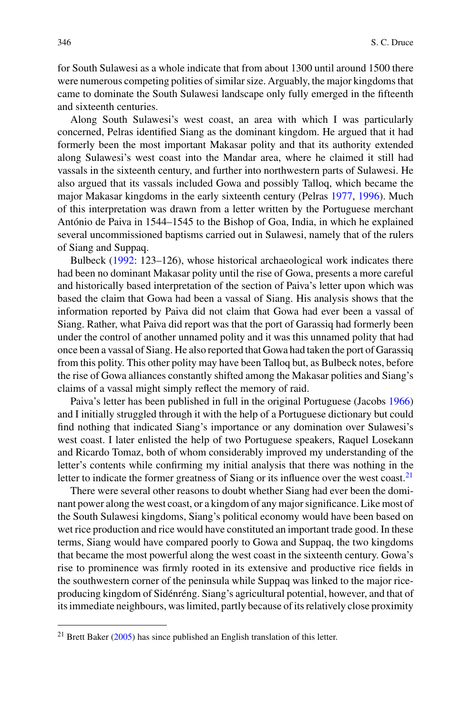for South Sulawesi as a whole indicate that from about 1300 until around 1500 there were numerous competing polities of similar size. Arguably, the major kingdoms that came to dominate the South Sulawesi landscape only fully emerged in the fifteenth and sixteenth centuries.

Along South Sulawesi's west coast, an area with which I was particularly concerned, Pelras identified Siang as the dominant kingdom. He argued that it had formerly been the most important Makasar polity and that its authority extended along Sulawesi's west coast into the Mandar area, where he claimed it still had vassals in the sixteenth century, and further into northwestern parts of Sulawesi. He also argued that its vassals included Gowa and possibly Talloq, which became the major Makasar kingdoms in the early sixteenth century (Pelras [1977,](#page-21-16) [1996\)](#page-22-1). Much of this interpretation was drawn from a letter written by the Portuguese merchant António de Paiva in 1544–1545 to the Bishop of Goa, India, in which he explained several uncommissioned baptisms carried out in Sulawesi, namely that of the rulers of Siang and Suppaq.

Bulbeck [\(1992:](#page-19-6) 123–126), whose historical archaeological work indicates there had been no dominant Makasar polity until the rise of Gowa, presents a more careful and historically based interpretation of the section of Paiva's letter upon which was based the claim that Gowa had been a vassal of Siang. His analysis shows that the information reported by Paiva did not claim that Gowa had ever been a vassal of Siang. Rather, what Paiva did report was that the port of Garassiq had formerly been under the control of another unnamed polity and it was this unnamed polity that had once been a vassal of Siang. He also reported that Gowa had taken the port of Garassiq from this polity. This other polity may have been Talloq but, as Bulbeck notes, before the rise of Gowa alliances constantly shifted among the Makasar polities and Siang's claims of a vassal might simply reflect the memory of raid.

Paiva's letter has been published in full in the original Portuguese (Jacobs [1966\)](#page-20-18) and I initially struggled through it with the help of a Portuguese dictionary but could find nothing that indicated Siang's importance or any domination over Sulawesi's west coast. I later enlisted the help of two Portuguese speakers, Raquel Losekann and Ricardo Tomaz, both of whom considerably improved my understanding of the letter's contents while confirming my initial analysis that there was nothing in the letter to indicate the former greatness of Siang or its influence over the west coast. $21$ 

There were several other reasons to doubt whether Siang had ever been the dominant power along the west coast, or a kingdom of any major significance. Like most of the South Sulawesi kingdoms, Siang's political economy would have been based on wet rice production and rice would have constituted an important trade good. In these terms, Siang would have compared poorly to Gowa and Suppaq, the two kingdoms that became the most powerful along the west coast in the sixteenth century. Gowa's rise to prominence was firmly rooted in its extensive and productive rice fields in the southwestern corner of the peninsula while Suppaq was linked to the major riceproducing kingdom of Sidénréng. Siang's agricultural potential, however, and that of its immediate neighbours, was limited, partly because of its relatively close proximity

<span id="page-17-0"></span> $21$  Brett Baker [\(2005\)](#page-19-9) has since published an English translation of this letter.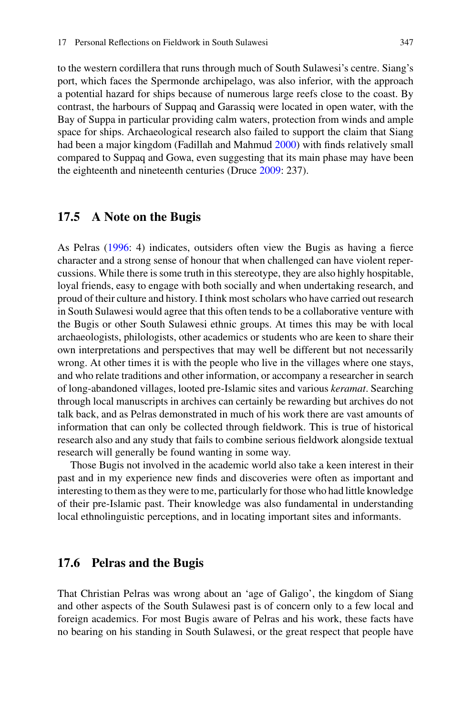to the western cordillera that runs through much of South Sulawesi's centre. Siang's port, which faces the Spermonde archipelago, was also inferior, with the approach a potential hazard for ships because of numerous large reefs close to the coast. By contrast, the harbours of Suppaq and Garassiq were located in open water, with the Bay of Suppa in particular providing calm waters, protection from winds and ample space for ships. Archaeological research also failed to support the claim that Siang had been a major kingdom (Fadillah and Mahmud [2000\)](#page-20-19) with finds relatively small compared to Suppaq and Gowa, even suggesting that its main phase may have been the eighteenth and nineteenth centuries (Druce [2009:](#page-20-0) 237).

#### **17.5 A Note on the Bugis**

As Pelras [\(1996:](#page-22-1) 4) indicates, outsiders often view the Bugis as having a fierce character and a strong sense of honour that when challenged can have violent repercussions. While there is some truth in this stereotype, they are also highly hospitable, loyal friends, easy to engage with both socially and when undertaking research, and proud of their culture and history. I think most scholars who have carried out research in South Sulawesi would agree that this often tends to be a collaborative venture with the Bugis or other South Sulawesi ethnic groups. At times this may be with local archaeologists, philologists, other academics or students who are keen to share their own interpretations and perspectives that may well be different but not necessarily wrong. At other times it is with the people who live in the villages where one stays, and who relate traditions and other information, or accompany a researcher in search of long-abandoned villages, looted pre-Islamic sites and various *keramat*. Searching through local manuscripts in archives can certainly be rewarding but archives do not talk back, and as Pelras demonstrated in much of his work there are vast amounts of information that can only be collected through fieldwork. This is true of historical research also and any study that fails to combine serious fieldwork alongside textual research will generally be found wanting in some way.

Those Bugis not involved in the academic world also take a keen interest in their past and in my experience new finds and discoveries were often as important and interesting to them as they were to me, particularly for those who had little knowledge of their pre-Islamic past. Their knowledge was also fundamental in understanding local ethnolinguistic perceptions, and in locating important sites and informants.

#### **17.6 Pelras and the Bugis**

That Christian Pelras was wrong about an 'age of Galigo', the kingdom of Siang and other aspects of the South Sulawesi past is of concern only to a few local and foreign academics. For most Bugis aware of Pelras and his work, these facts have no bearing on his standing in South Sulawesi, or the great respect that people have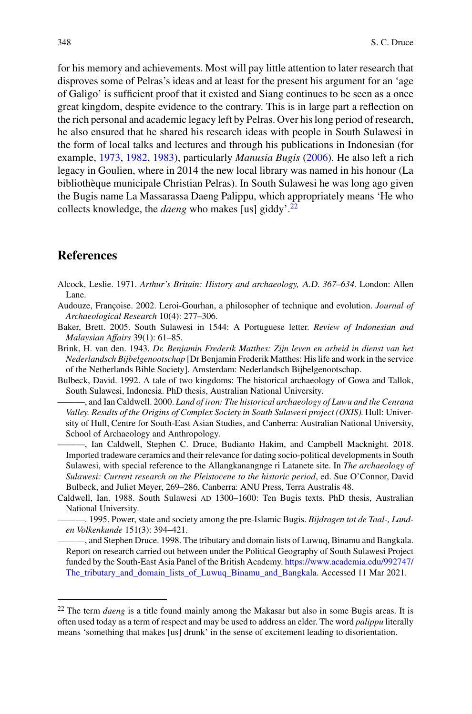for his memory and achievements. Most will pay little attention to later research that disproves some of Pelras's ideas and at least for the present his argument for an 'age of Galigo' is sufficient proof that it existed and Siang continues to be seen as a once great kingdom, despite evidence to the contrary. This is in large part a reflection on the rich personal and academic legacy left by Pelras. Over his long period of research, he also ensured that he shared his research ideas with people in South Sulawesi in the form of local talks and lectures and through his publications in Indonesian (for example, [1973,](#page-21-17) [1982,](#page-22-9) [1983\)](#page-22-10), particularly *Manusia Bugis* [\(2006\)](#page-22-2). He also left a rich legacy in Goulien, where in 2014 the new local library was named in his honour (La bibliothèque municipale Christian Pelras). In South Sulawesi he was long ago given the Bugis name La Massarassa Daeng Palippu, which appropriately means 'He who collects knowledge, the *daeng* who makes [us] giddy'.[22](#page-19-10)

# **References**

- <span id="page-19-1"></span>Alcock, Leslie. 1971. *Arthur's Britain: History and archaeology,* A.D. *367–634*. London: Allen Lane.
- <span id="page-19-0"></span>Audouze, Françoise. 2002. Leroi-Gourhan, a philosopher of technique and evolution. *Journal of Archaeological Research* 10(4): 277–306.
- <span id="page-19-9"></span>Baker, Brett. 2005. South Sulawesi in 1544: A Portuguese letter. *Review of Indonesian and Malaysian Affairs* 39(1): 61–85.
- <span id="page-19-3"></span>Brink, H. van den. 1943. *Dr. Benjamin Frederik Matthes: Zijn leven en arbeid in dienst van het Nederlandsch Bijbelgenootschap* [Dr Benjamin Frederik Matthes: His life and work in the service of the Netherlands Bible Society]. Amsterdam: Nederlandsch Bijbelgenootschap.
- <span id="page-19-6"></span>Bulbeck, David. 1992. A tale of two kingdoms: The historical archaeology of Gowa and Tallok, South Sulawesi, Indonesia. PhD thesis, Australian National University.
- <span id="page-19-7"></span>———, and Ian Caldwell. 2000. *Land of iron: The historical archaeology of Luwu and the Cenrana Valley. Results of the Origins of Complex Society in South Sulawesi project (OXIS)*. Hull: University of Hull, Centre for South-East Asian Studies, and Canberra: Australian National University, School of Archaeology and Anthropology.
- <span id="page-19-8"></span>———, Ian Caldwell, Stephen C. Druce, Budianto Hakim, and Campbell Macknight. 2018. Imported tradeware ceramics and their relevance for dating socio-political developments in South Sulawesi, with special reference to the Allangkanangnge ri Latanete site. In *The archaeology of Sulawesi: Current research on the Pleistocene to the historic period*, ed. Sue O'Connor, David Bulbeck, and Juliet Meyer, 269–286. Canberra: ANU Press, Terra Australis 48.
- <span id="page-19-5"></span><span id="page-19-4"></span><span id="page-19-2"></span>Caldwell, Ian. 1988. South Sulawesi ad 1300–1600: Ten Bugis texts. PhD thesis, Australian National University.
	- ———. 1995. Power, state and society among the pre-Islamic Bugis. *Bijdragen tot de Taal-, Landen Volkenkunde* 151(3): 394–421.
	- ———, and Stephen Druce. 1998. The tributary and domain lists of Luwuq, Binamu and Bangkala. Report on research carried out between under the Political Geography of South Sulawesi Project funded by the South-East Asia Panel of the British Academy. https://www.academia.edu/992747/ [The\\_tributary\\_and\\_domain\\_lists\\_of\\_Luwuq\\_Binamu\\_and\\_Bangkala. Accessed 11 Mar 2021.](https://www.academia.edu/992747/The_tributary_and_domain_lists_of_Luwuq_Binamu_and_Bangkala)

<span id="page-19-10"></span><sup>22</sup> The term *daeng* is a title found mainly among the Makasar but also in some Bugis areas. It is often used today as a term of respect and may be used to address an elder. The word *palippu* literally means 'something that makes [us] drunk' in the sense of excitement leading to disorientation.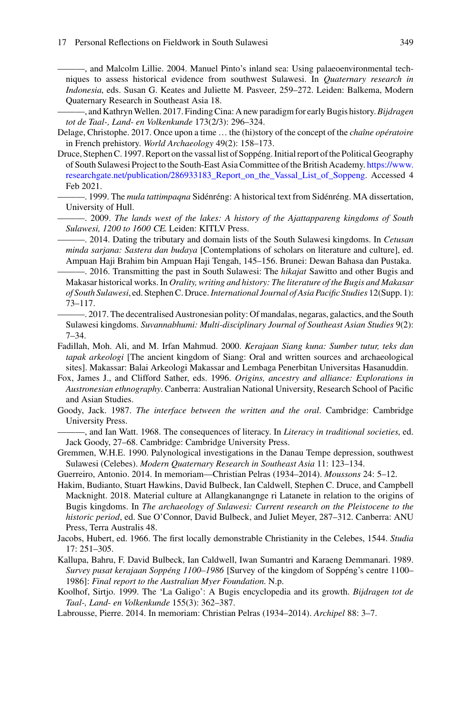<span id="page-20-16"></span>———, and Malcolm Lillie. 2004. Manuel Pinto's inland sea: Using palaeoenvironmental techniques to assess historical evidence from southwest Sulawesi. In *Quaternary research in Indonesia*, eds. Susan G. Keates and Juliette M. Pasveer, 259–272. Leiden: Balkema, Modern Quaternary Research in Southeast Asia 18.

<span id="page-20-14"></span>———, and KathrynWellen. 2017. Finding Cina: A new paradigm for early Bugis history.*Bijdragen tot de Taal-, Land- en Volkenkunde* 173(2/3): 296–324.

- <span id="page-20-3"></span>Delage, Christophe. 2017. Once upon a time … the (hi)story of the concept of the *chaîne opératoire* in French prehistory. *World Archaeology* 49(2): 158–173.
- <span id="page-20-4"></span>Druce, Stephen C. 1997. Report on the vassal list of Soppéng. Initial report of the Political Geography of South Sulawesi Project to the South-East Asia Committee of the British Academy. https://www. researchgate.net/publication/286933183 Report on the Vassal List of Soppeng. Accessed 4 Feb 2021.
- <span id="page-20-7"></span>———. 1999. The *mula tattimpaqna* Sidénréng: A historical text from Sidénréng. MA dissertation, University of Hull.

<span id="page-20-0"></span>———. 2009. *The lands west of the lakes: A history of the Ajattappareng kingdoms of South Sulawesi, 1200 to 1600* CE. Leiden: KITLV Press.

<span id="page-20-5"></span>———. 2014. Dating the tributary and domain lists of the South Sulawesi kingdoms. In *Cetusan minda sarjana: Sastera dan budaya* [Contemplations of scholars on literature and culture], ed. Ampuan Haji Brahim bin Ampuan Haji Tengah, 145–156. Brunei: Dewan Bahasa dan Pustaka.

<span id="page-20-9"></span>———. 2016. Transmitting the past in South Sulawesi: The *hikajat* Sawitto and other Bugis and Makasar historical works. In *Orality, writing and history: The literature of the Bugis and Makasar of South Sulawesi*, ed. Stephen C. Druce.*International Journal of Asia Pacific Studies* 12(Supp. 1): 73–117.

- <span id="page-20-6"></span>———. 2017. The decentralised Austronesian polity: Of mandalas, negaras, galactics, and the South Sulawesi kingdoms. *Suvannabhumi: Multi-disciplinary Journal of Southeast Asian Studies* 9(2): 7–34.
- <span id="page-20-19"></span>Fadillah, Moh. Ali, and M. Irfan Mahmud. 2000. *Kerajaan Siang kuna: Sumber tutur, teks dan tapak arkeologi* [The ancient kingdom of Siang: Oral and written sources and archaeological sites]. Makassar: Balai Arkeologi Makassar and Lembaga Penerbitan Universitas Hasanuddin.
- <span id="page-20-8"></span>Fox, James J., and Clifford Sather, eds. 1996. *Origins, ancestry and alliance: Explorations in Austronesian ethnography*. Canberra: Australian National University, Research School of Pacific and Asian Studies.
- <span id="page-20-11"></span>Goody, Jack. 1987. *The interface between the written and the oral*. Cambridge: Cambridge University Press.

<span id="page-20-10"></span>———, and Ian Watt. 1968. The consequences of literacy. In *Literacy in traditional societies*, ed. Jack Goody, 27–68. Cambridge: Cambridge University Press.

<span id="page-20-17"></span>Gremmen, W.H.E. 1990. Palynological investigations in the Danau Tempe depression, southwest Sulawesi (Celebes). *Modern Quaternary Research in Southeast Asia* 11: 123–134.

<span id="page-20-2"></span>Guerreiro, Antonio. 2014. In memoriam—Christian Pelras (1934–2014). *Moussons* 24: 5–12.

- <span id="page-20-15"></span>Hakim, Budianto, Stuart Hawkins, David Bulbeck, Ian Caldwell, Stephen C. Druce, and Campbell Macknight. 2018. Material culture at Allangkanangnge ri Latanete in relation to the origins of Bugis kingdoms. In *The archaeology of Sulawesi: Current research on the Pleistocene to the historic period*, ed. Sue O'Connor, David Bulbeck, and Juliet Meyer, 287–312. Canberra: ANU Press, Terra Australis 48.
- <span id="page-20-18"></span>Jacobs, Hubert, ed. 1966. The first locally demonstrable Christianity in the Celebes, 1544. *Studia* 17: 251–305.
- <span id="page-20-13"></span>Kallupa, Bahru, F. David Bulbeck, Ian Caldwell, Iwan Sumantri and Karaeng Demmanari. 1989. *Survey pusat kerajaan Soppéng 1100–1986* [Survey of the kingdom of Soppéng's centre 1100– 1986]: *Final report to the Australian Myer Foundation*. N.p.
- <span id="page-20-12"></span>Koolhof, Sirtjo. 1999. The 'La Galigo': A Bugis encyclopedia and its growth. *Bijdragen tot de Taal-, Land- en Volkenkunde* 155(3): 362–387.
- <span id="page-20-1"></span>Labrousse, Pierre. 2014. In memoriam: Christian Pelras (1934–2014). *Archipel* 88: 3–7.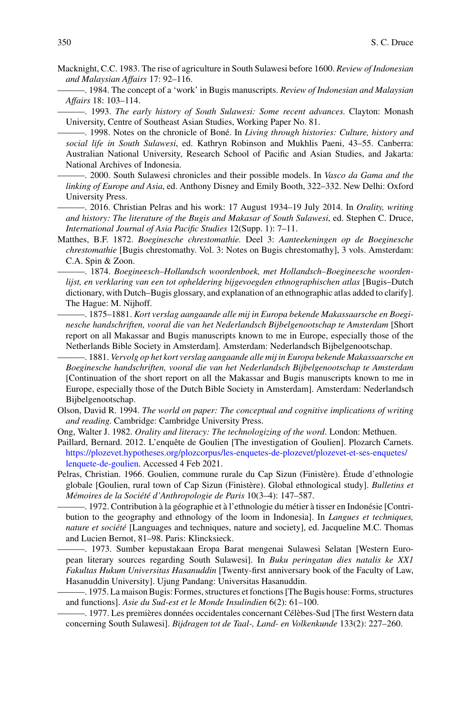- <span id="page-21-10"></span>Macknight, C.C. 1983. The rise of agriculture in South Sulawesi before 1600. *Review of Indonesian and Malaysian Affairs* 17: 92–116.
- <span id="page-21-5"></span>———. 1984. The concept of a 'work' in Bugis manuscripts. *Review of Indonesian and Malaysian Affairs* 18: 103–114.
- <span id="page-21-14"></span>———. 1993. *The early history of South Sulawesi: Some recent advances*. Clayton: Monash University, Centre of Southeast Asian Studies, Working Paper No. 81.
- <span id="page-21-15"></span>———. 1998. Notes on the chronicle of Boné. In *Living through histories: Culture, history and social life in South Sulawesi*, ed. Kathryn Robinson and Mukhlis Paeni, 43–55. Canberra: Australian National University, Research School of Pacific and Asian Studies, and Jakarta: National Archives of Indonesia.
- <span id="page-21-11"></span>———. 2000. South Sulawesi chronicles and their possible models. In *Vasco da Gama and the linking of Europe and Asia*, ed. Anthony Disney and Emily Booth, 322–332. New Delhi: Oxford University Press.
- <span id="page-21-2"></span>———. 2016. Christian Pelras and his work: 17 August 1934–19 July 2014. In *Orality, writing and history: The literature of the Bugis and Makasar of South Sulawesi*, ed. Stephen C. Druce, *International Journal of Asia Pacific Studies* 12(Supp. 1): 7–11.
- <span id="page-21-7"></span>Matthes, B.F. 1872. *Boeginesche chrestomathie.* Deel 3: *Aanteekeningen op de Boeginesche chrestomathie* [Bugis chrestomathy. Vol. 3: Notes on Bugis chrestomathy], 3 vols. Amsterdam: C.A. Spin & Zoon.
- <span id="page-21-6"></span>———. 1874. *Boegineesch–Hollandsch woordenboek, met Hollandsch–Boegineesche woordenlijst, en verklaring van een tot opheldering bijgevoegden ethnographischen atlas* [Bugis–Dutch dictionary, with Dutch–Bugis glossary, and explanation of an ethnographic atlas added to clarify]. The Hague: M. Nijhoff.
- <span id="page-21-8"></span>-. 1875–1881. Kort verslag aangaande alle mij in Europa bekende Makassaarsche en Boegi*nesche handschriften, vooral die van het Nederlandsch Bijbelgenootschap te Amsterdam* [Short report on all Makassar and Bugis manuscripts known to me in Europe, especially those of the Netherlands Bible Society in Amsterdam]. Amsterdam: Nederlandsch Bijbelgenootschap.
- <span id="page-21-9"></span>———. 1881. *Vervolg op het kort verslag aangaande alle mij in Europa bekende Makassaarsche en Boeginesche handschriften, vooral die van het Nederlandsch Bijbelgenootschap te Amsterdam* [Continuation of the short report on all the Makassar and Bugis manuscripts known to me in Europe, especially those of the Dutch Bible Society in Amsterdam]. Amsterdam: Nederlandsch Bijbelgenootschap.
- <span id="page-21-13"></span>Olson, David R. 1994. *The world on paper: The conceptual and cognitive implications of writing and reading*. Cambridge: Cambridge University Press.
- <span id="page-21-12"></span>Ong, Walter J. 1982. *Orality and literacy: The technologizing of the word*. London: Methuen.
- <span id="page-21-1"></span>Paillard, Bernard. 2012. L'enquête de Goulien [The investigation of Goulien]. Plozarch Carnets. [https://plozevet.hypotheses.org/plozcorpus/les-enquetes-de-plozevet/plozevet-et-ses-enquetes/](https://plozevet.hypotheses.org/plozcorpus/les-enquetes-de-plozevet/plozevet-et-ses-enquetes/lenquete-de-goulien) lenquete-de-goulien. Accessed 4 Feb 2021.
- <span id="page-21-0"></span>Pelras, Christian. 1966. Goulien, commune rurale du Cap Sizun (Finistère). Étude d'ethnologie globale [Goulien, rural town of Cap Sizun (Finistère). Global ethnological study]. *Bulletins et Mémoires de la Société d'Anthropologie de Paris* 10(3–4): 147–587.
- <span id="page-21-3"></span>———. 1972. Contribution à la géographie et à l'ethnologie du métier à tisser en Indonésie [Contribution to the geography and ethnology of the loom in Indonesia]. In *Langues et techniques, nature et société* [Languages and techniques, nature and society], ed. Jacqueline M.C. Thomas and Lucien Bernot, 81–98. Paris: Klincksieck.
	- ———. 1973. Sumber kepustakaan Eropa Barat mengenai Sulawesi Selatan [Western European literary sources regarding South Sulawesi]. In *Buku peringatan dies natalis ke XX1 Fakultas Hukum Universitas Hasanuddin* [Twenty-first anniversary book of the Faculty of Law, Hasanuddin University]. Ujung Pandang: Universitas Hasanuddin.
- <span id="page-21-17"></span><span id="page-21-4"></span>———. 1975. La maison Bugis: Formes, structures et fonctions [The Bugis house: Forms, structures and functions]. *Asie du Sud-est et le Monde Insulindien* 6(2): 61–100.
- <span id="page-21-16"></span>———. 1977. Les premières données occidentales concernant Célèbes-Sud [The first Western data concerning South Sulawesi]. *Bijdragen tot de Taal-, Land- en Volkenkunde* 133(2): 227–260.